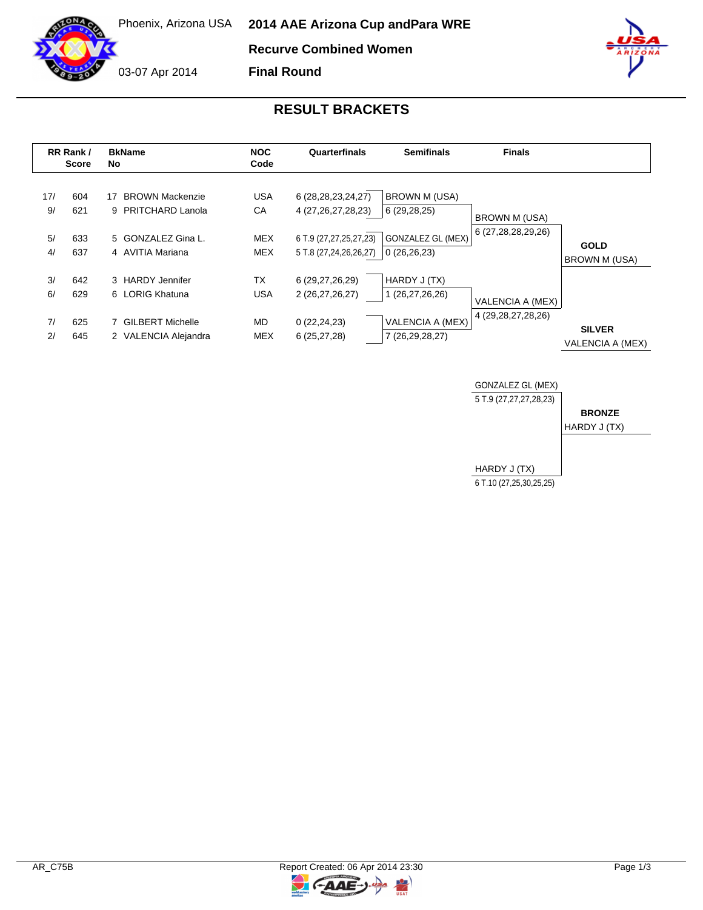03-07 Apr 2014

Phoenix, Arizona USA **2014 AAE Arizona Cup and Para WRE**

**Recurve Combined Women**

**Final Round**

## **RESULT BRACKETS**

|                       | RR Rank /<br><b>Score</b> | <b>BkName</b><br>No.                                                                         | <b>NOC</b><br>Code                           | Quarterfinals                                                                                        | <b>Semifinals</b>                                                         | <b>Finals</b>                              |                                     |
|-----------------------|---------------------------|----------------------------------------------------------------------------------------------|----------------------------------------------|------------------------------------------------------------------------------------------------------|---------------------------------------------------------------------------|--------------------------------------------|-------------------------------------|
| 17/<br>9/<br>5/<br>4/ | 604<br>621<br>633<br>637  | <b>BROWN Mackenzie</b><br>17<br>9 PRITCHARD Lanola<br>5 GONZALEZ Gina L.<br>4 AVITIA Mariana | <b>USA</b><br>CA<br><b>MEX</b><br><b>MEX</b> | 6 (28, 28, 23, 24, 27)<br>4 (27, 26, 27, 28, 23)<br>6 T.9 (27,27,25,27,23)<br>5 T.8 (27,24,26,26,27) | <b>BROWN M (USA)</b><br>6(29, 28, 25)<br>GONZALEZ GL (MEX)<br>0(26,26,23) | <b>BROWN M (USA)</b><br>6 (27,28,28,29,26) | <b>GOLD</b><br><b>BROWN M (USA)</b> |
| 3/<br>6/<br>7/<br>2/  | 642<br>629<br>625<br>645  | 3 HARDY Jennifer<br>6 LORIG Khatuna<br>7 GILBERT Michelle<br>2 VALENCIA Alejandra            | TX<br><b>USA</b><br><b>MD</b><br><b>MEX</b>  | 6 (29,27,26,29)<br>2 (26,27,26,27)<br>0(22, 24, 23)<br>6(25, 27, 28)                                 | HARDY J (TX)<br>1 (26,27,26,26)<br>VALENCIA A (MEX)<br>7 (26,29,28,27)    | VALENCIA A (MEX)<br>4 (29, 28, 27, 28, 26) | <b>SILVER</b><br>VALENCIA A (MEX)   |





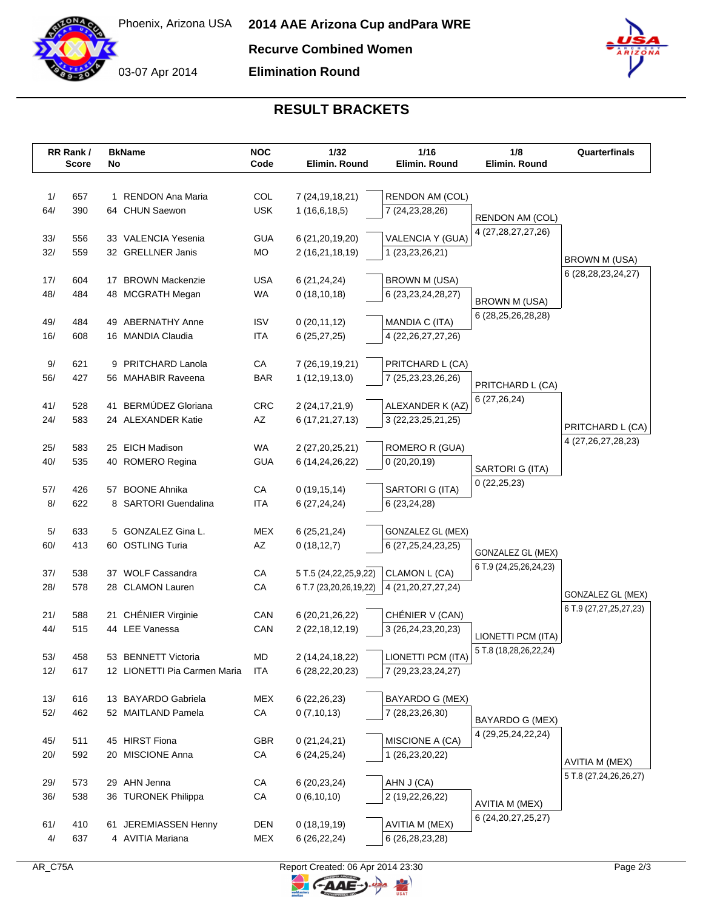

**Recurve Combined Women**

**Elimination Round**



## **RESULT BRACKETS**

|           | RR Rank /<br><b>Score</b> | No | <b>BkName</b>                          | <b>NOC</b><br>Code | 1/32<br>Elimin. Round                  | 1/16<br>Elimin. Round                  | 1/8<br>Elimin. Round                         | Quarterfinals                              |
|-----------|---------------------------|----|----------------------------------------|--------------------|----------------------------------------|----------------------------------------|----------------------------------------------|--------------------------------------------|
|           |                           |    |                                        |                    |                                        |                                        |                                              |                                            |
| 1/        | 657                       |    | 1 RENDON Ana Maria                     | COL                | 7 (24, 19, 18, 21)                     | <b>RENDON AM (COL)</b>                 |                                              |                                            |
| 64/       | 390                       |    | 64 CHUN Saewon                         | <b>USK</b>         | 1(16,6,18,5)                           | 7 (24, 23, 28, 26)                     |                                              |                                            |
|           |                           |    |                                        |                    |                                        |                                        | RENDON AM (COL)<br>4 (27,28,27,27,26)        |                                            |
| 33/       | 556                       |    | 33 VALENCIA Yesenia                    | <b>GUA</b>         | 6 (21, 20, 19, 20)                     | VALENCIA Y (GUA)                       |                                              |                                            |
| 32/       | 559                       |    | 32 GRELLNER Janis                      | MO                 | 2 (16,21,18,19)                        | 1 (23,23,26,21)                        |                                              | <b>BROWN M (USA)</b>                       |
| 17/       | 604                       |    | 17 BROWN Mackenzie                     | <b>USA</b>         | 6(21, 24, 24)                          | <b>BROWN M (USA)</b>                   |                                              | 6 (28, 28, 23, 24, 27)                     |
| 48/       | 484                       |    | 48 MCGRATH Megan                       | WA                 | 0(18, 10, 18)                          | 6 (23, 23, 24, 28, 27)                 |                                              |                                            |
|           |                           |    |                                        |                    |                                        |                                        | <b>BROWN M (USA)</b>                         |                                            |
| 49/       | 484                       |    | 49 ABERNATHY Anne                      | <b>ISV</b>         | 0(20, 11, 12)                          | MANDIA C (ITA)                         | 6 (28, 25, 26, 28, 28)                       |                                            |
| 16/       | 608                       |    | 16 MANDIA Claudia                      | <b>ITA</b>         | 6(25, 27, 25)                          | 4 (22, 26, 27, 27, 26)                 |                                              |                                            |
|           |                           |    |                                        |                    |                                        |                                        |                                              |                                            |
| 9/<br>56/ | 621<br>427                | 9  | PRITCHARD Lanola<br>56 MAHABIR Raveena | СA<br><b>BAR</b>   | 7 (26, 19, 19, 21)<br>1(12, 19, 13, 0) | PRITCHARD L (CA)<br>7 (25,23,23,26,26) |                                              |                                            |
|           |                           |    |                                        |                    |                                        |                                        | PRITCHARD L (CA)                             |                                            |
| 41/       | 528                       |    | 41 BERMÚDEZ Gloriana                   | CRC                | 2 (24, 17, 21, 9)                      | ALEXANDER K (AZ)                       | 6 (27,26,24)                                 |                                            |
| 24/       | 583                       |    | 24 ALEXANDER Katie                     | AZ                 | 6 (17,21,27,13)                        | 3 (22, 23, 25, 21, 25)                 |                                              |                                            |
|           |                           |    |                                        |                    |                                        |                                        |                                              | PRITCHARD L (CA)<br>4 (27, 26, 27, 28, 23) |
| 25/       | 583                       |    | 25 EICH Madison                        | WA                 | 2 (27,20,25,21)                        | <b>ROMERO R (GUA)</b>                  |                                              |                                            |
| 40/       | 535                       |    | 40 ROMERO Regina                       | <b>GUA</b>         | 6 (14,24,26,22)                        | 0(20, 20, 19)                          | SARTORI G (ITA)                              |                                            |
| 57/       | 426                       |    | 57 BOONE Ahnika                        | CA                 | 0(19, 15, 14)                          | SARTORI G (ITA)                        | 0(22, 25, 23)                                |                                            |
| 8/        | 622                       |    | 8 SARTORI Guendalina                   | <b>ITA</b>         | 6(27, 24, 24)                          | 6 (23,24,28)                           |                                              |                                            |
|           |                           |    |                                        |                    |                                        |                                        |                                              |                                            |
| 5/        | 633                       |    | 5 GONZALEZ Gina L.                     | <b>MEX</b>         | 6(25,21,24)                            | GONZALEZ GL (MEX)                      |                                              |                                            |
| 60/       | 413                       |    | 60 OSTLING Turia                       | AZ                 | 0(18, 12, 7)                           | 6 (27, 25, 24, 23, 25)                 | GONZALEZ GL (MEX)                            |                                            |
|           |                           |    |                                        |                    |                                        |                                        | 6 T.9 (24,25,26,24,23)                       |                                            |
| 37/       | 538<br>578                |    | 37 WOLF Cassandra                      | CA                 | 5 T.5 (24, 22, 25, 9, 22)              | CLAMON L (CA)                          |                                              |                                            |
| 28/       |                           |    | 28 CLAMON Lauren                       | CA                 | 6 T.7 (23,20,26,19,22)                 | 4 (21, 20, 27, 27, 24)                 |                                              | GONZALEZ GL (MEX)                          |
| 21/       | 588                       |    | 21 CHÉNIER Virginie                    | CAN                | 6 (20,21,26,22)                        | CHÉNIER V (CAN)                        |                                              | 6 T.9 (27,27,25,27,23)                     |
| 44/       | 515                       |    | 44 LEE Vanessa                         | CAN                | 2 (22, 18, 12, 19)                     | 3 (26,24,23,20,23)                     |                                              |                                            |
|           |                           |    |                                        |                    |                                        |                                        | LIONETTI PCM (ITA)<br>5 T.8 (18,28,26,22,24) |                                            |
| 53/       | 458                       |    | 53 BENNETT Victoria                    | MD                 | 2 (14,24,18,22)                        | LIONETTI PCM (ITA)                     |                                              |                                            |
| 12/       | 617                       |    | 12 LIONETTI Pia Carmen Maria           | ITA                | 6 (28, 22, 20, 23)                     | 7 (29, 23, 23, 24, 27)                 |                                              |                                            |
| 13/       | 616                       |    | 13 BAYARDO Gabriela                    | <b>MEX</b>         | 6(22, 26, 23)                          | BAYARDO G (MEX)                        |                                              |                                            |
| 52/       | 462                       |    | 52 MAITLAND Pamela                     | CA                 | 0(7,10,13)                             | 7 (28,23,26,30)                        |                                              |                                            |
|           |                           |    |                                        |                    |                                        |                                        | BAYARDO G (MEX)                              |                                            |
| 45/       | 511                       |    | 45 HIRST Fiona                         | <b>GBR</b>         | 0(21, 24, 21)                          | MISCIONE A (CA)                        | 4 (29, 25, 24, 22, 24)                       |                                            |
| 20/       | 592                       |    | 20 MISCIONE Anna                       | CA                 | 6(24, 25, 24)                          | 1 (26,23,20,22)                        |                                              | AVITIA M (MEX)                             |
|           |                           |    |                                        |                    |                                        |                                        |                                              | 5 T.8 (27,24,26,26,27)                     |
| 29/       | 573                       |    | 29 AHN Jenna                           | СA                 | 6(20, 23, 24)                          | AHN J (CA)                             |                                              |                                            |
| 36/       | 538                       |    | 36 TURONEK Philippa                    | СA                 | 0(6,10,10)                             | 2 (19,22,26,22)                        | <b>AVITIA M (MEX)</b>                        |                                            |
| 61/       | 410                       |    | 61 JEREMIASSEN Henny                   | DEN                | 0(18, 19, 19)                          | <b>AVITIA M (MEX)</b>                  | 6 (24, 20, 27, 25, 27)                       |                                            |
| 4/        | 637                       |    | 4 AVITIA Mariana                       | MEX                | 6(26, 22, 24)                          | 6 (26,28,23,28)                        |                                              |                                            |
|           |                           |    |                                        |                    |                                        |                                        |                                              |                                            |

 $\mathbb{F}$ 

 $FAAE$ 

 $\ominus$